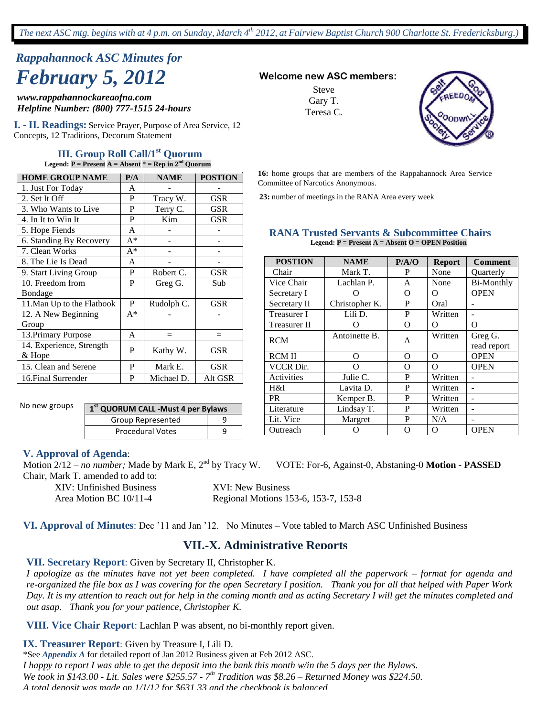# *Rappahannock ASC Minutes for February 5, 2012* **Welcome new ASC members:**

*www.rappahannockareaofna.com Helpline Number: (800) 777-1515 24-hours*

**I. - II. Readings:** Service Prayer, Purpose of Area Service, 12 Concepts, 12 Traditions, Decorum Statement

#### **III. Group Roll Call/1st Quorum Legend: P = Present A = Absent \* = Rep in 2nd Quorum**

| <b>HOME GROUP NAME</b>     | P/A   | <b>NAME</b> | <b>POSTION</b> |  |  |
|----------------------------|-------|-------------|----------------|--|--|
| 1. Just For Today          | A     |             |                |  |  |
| 2. Set It Off              | P     | Tracy W.    | <b>GSR</b>     |  |  |
| 3. Who Wants to Live       | P     | Terry C.    | GSR            |  |  |
| 4. In It to Win It         | P     | Kim         | GSR            |  |  |
| 5. Hope Fiends             | A     |             |                |  |  |
| 6. Standing By Recovery    | $A^*$ |             |                |  |  |
| 7. Clean Works             | A*    |             |                |  |  |
| 8. The Lie Is Dead         | A     |             |                |  |  |
| 9. Start Living Group      | P     | Robert C.   | GSR            |  |  |
| 10. Freedom from           | P     | Greg G.     | Sub            |  |  |
| Bondage                    |       |             |                |  |  |
| 11. Man Up to the Flatbook | P     | Rudolph C.  | <b>GSR</b>     |  |  |
| 12. A New Beginning        | $A^*$ |             |                |  |  |
| Group                      |       |             |                |  |  |
| 13. Primary Purpose        | A     | $=$         | $=$            |  |  |
| 14. Experience, Strength   | P     |             | GSR            |  |  |
| & Hope                     |       | Kathy W.    |                |  |  |
| 15. Clean and Serene       | P     | Mark E.     | GSR            |  |  |
| 16. Final Surrender        | P     | Michael D.  | Alt GSR        |  |  |

No new groups

**1 st QUORUM CALL -Must 4 per Bylaws** Group Represented 1 9 Procedural Votes | 9

#### **V. Approval of Agenda**:

Motion 2/12 – *no number;* Made by Mark E, 2nd by Tracy W. VOTE: For-6, Against-0, Abstaning-0 **Motion - PASSED** Chair, Mark T. amended to add to:

XIV: Unfinished Business XVI: New Business

Area Motion BC 10/11-4 Regional Motions 153-6, 153-7, 153-8

## **VI. Approval of Minutes**: Dec '11 and Jan '12. No Minutes – Vote tabled to March ASC Unfinished Business

## **VII.-X. Administrative Reports**

#### **VII. Secretary Report**: Given by Secretary II, Christopher K.

*I apologize as the minutes have not yet been completed. I have completed all the paperwork – format for agenda and re-organized the file box as I was covering for the open Secretary I position. Thank you for all that helped with Paper Work Day. It is my attention to reach out for help in the coming month and as acting Secretary I will get the minutes completed and out asap. Thank you for your patience, Christopher K.*

**VIII. Vice Chair Report**: Lachlan P was absent, no bi-monthly report given.

**IX. Treasurer Report**: Given by Treasure I, Lili D.

\*See *Appendix A* for detailed report of Jan 2012 Business given at Feb 2012 ASC. *I happy to report I was able to get the deposit into the bank this month w/in the 5 days per the Bylaws. We took in \$143.00 - Lit. Sales were \$255.57 - 7 th Tradition was \$8.26 – Returned Money was \$224.50. A total deposit was made on 1/1/12 for \$631.33 and the checkbook is balanced.*

Steve Gary T. Teresa C.



**16:** home groups that are members of the Rappahannock Area Service Committee of Narcotics Anonymous.

**23:** number of meetings in the RANA Area every week

|  |  | <b>RANA Trusted Servants &amp; Subcommittee Chairs</b>        |  |
|--|--|---------------------------------------------------------------|--|
|  |  | <b>Legend:</b> $P =$ Present $A =$ Absent $Q =$ OPEN Position |  |

| <b>POSTION</b>     | <b>NAME</b>    | P/A/O | <b>Report</b> | <b>Comment</b>    |
|--------------------|----------------|-------|---------------|-------------------|
| Chair              | Mark T.        | P     | None          | Quarterly         |
| Vice Chair         | Lachlan P.     | A     | None          | <b>Bi-Monthly</b> |
| Secretary I        |                | Ω     | O             | <b>OPEN</b>       |
| Secretary II       | Christopher K. | P     | Oral          |                   |
| <b>Treasurer I</b> | Lili D.        | P     | Written       |                   |
| Treasurer II       |                | O     | Ω             | Ω                 |
| <b>RCM</b>         | Antoinette B.  | A     | Written       | Greg G.           |
|                    |                |       |               | read report       |
| <b>RCM II</b>      | $\Omega$       | O     | $\Omega$      | <b>OPEN</b>       |
| <b>VCCR Dir.</b>   | $\Omega$       | O     | O             | <b>OPEN</b>       |
| Activities         | Julie C.       | P     | Written       |                   |
| H&I                | Lavita D.      | P     | Written       |                   |
| <b>PR</b>          | Kemper B.      | P     | Written       |                   |
| Literature         | Lindsay T.     | P     | Written       |                   |
| Lit. Vice          | Margret        | P     | N/A           | -                 |
| Outreach           |                | O     | O             | <b>OPEN</b>       |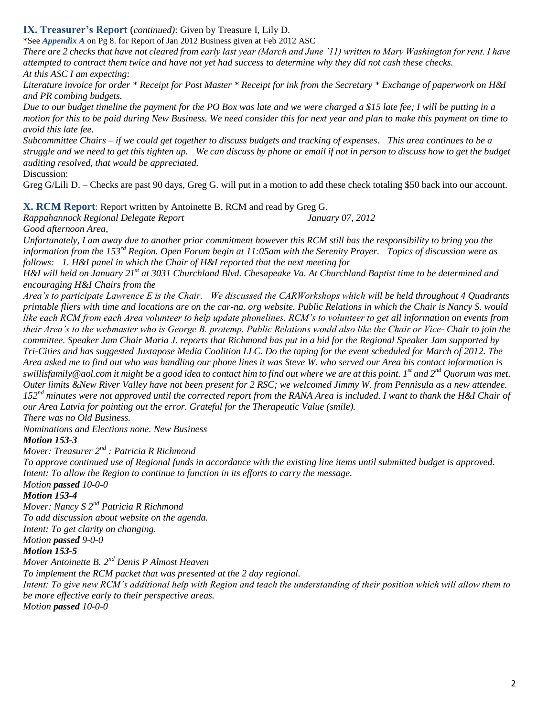## **IX. Treasurer's Report** (*continued)*: Given by Treasure I, Lily D.

\*See *Appendix A* on Pg 8. for Report of Jan 2012 Business given at Feb 2012 ASC

*There are 2 checks that have not cleared from early last year (March and June "11) written to Mary Washington for rent. I have attempted to contract them twice and have not yet had success to determine why they did not cash these checks. At this ASC I am expecting:*

*Literature invoice for order \* Receipt for Post Master \* Receipt for ink from the Secretary \* Exchange of paperwork on H&I and PR combing budgets.*

*Due to our budget timeline the payment for the PO Box was late and we were charged a \$15 late fee; I will be putting in a motion for this to be paid during New Business. We need consider this for next year and plan to make this payment on time to avoid this late fee.*

*Subcommittee Chairs – if we could get together to discuss budgets and tracking of expenses. This area continues to be a struggle and we need to get this tighten up. We can discuss by phone or email if not in person to discuss how to get the budget auditing resolved, that would be appreciated.*

Discussion:

Greg G/Lili D. – Checks are past 90 days, Greg G. will put in a motion to add these check totaling \$50 back into our account.

**X. RCM Report**: Report written by Antoinette B, RCM and read by Greg G.

*Rappahannock Regional Delegate Report January 07, 2012*

*Good afternoon Area,*

*Unfortunately, I am away due to another prior commitment however this RCM still has the responsibility to bring you the information from the 153rd Region. Open Forum begin at 11:05am with the Serenity Prayer. Topics of discussion were as follows: 1. H&I panel in which the Chair of H&I reported that the next meeting for* 

*H&I will held on January 21st at 3031 Churchland Blvd. Chesapeake Va. At Churchland Baptist time to be determined and encouraging H&I Chairs from the* 

*Area"s to participate Lawrence E is the Chair. We discussed the CARWorkshops which will be held throughout 4 Quadrants printable fliers with time and locations are on the car-na. org website. Public Relations in which the Chair is Nancy S. would like each RCM from each Area volunteer to help update phonelines. RCM"s to volunteer to get all information on events from their Area"s to the webmaster who is George B. protemp. Public Relations would also like the Chair or Vice- Chair to join the committee. Speaker Jam Chair Maria J. reports that Richmond has put in a bid for the Regional Speaker Jam supported by Tri-Cities and has suggested Juxtapose Media Coalition LLC. Do the taping for the event scheduled for March of 2012. The Area asked me to find out who was handling our phone lines it was Steve W. who served our Area his contact information is swillisfamily@aol.com it might be a good idea to contact him to find out where we are at this point. 1st and 2nd Quorum was met. Outer limits &New River Valley have not been present for 2 RSC; we welcomed Jimmy W. from Pennisula as a new attendee. 152nd minutes were not approved until the corrected report from the RANA Area is included. I want to thank the H&I Chair of our Area Latvia for pointing out the error. Grateful for the Therapeutic Value (smile).* 

*There was no Old Business. Nominations and Elections none. New Business*

*Motion 153-3*

*Mover: Treasurer 2nd : Patricia R Richmond*

*To approve continued use of Regional funds in accordance with the existing line items until submitted budget is approved. Intent: To allow the Region to continue to function in its efforts to carry the message.*

# *Motion passed 10-0-0*

*Motion 153-4*

*Mover: Nancy S 2nd Patricia R Richmond To add discussion about website on the agenda. Intent: To get clarity on changing. Motion passed 9-0-0*

### *Motion 153-5*

*Mover Antoinette B. 2nd Denis P Almost Heaven*

*To implement the RCM packet that was presented at the 2 day regional.*

*Intent: To give new RCM"s additional help with Region and teach the understanding of their position which will allow them to be more effective early to their perspective areas.*

*Motion passed 10-0-0*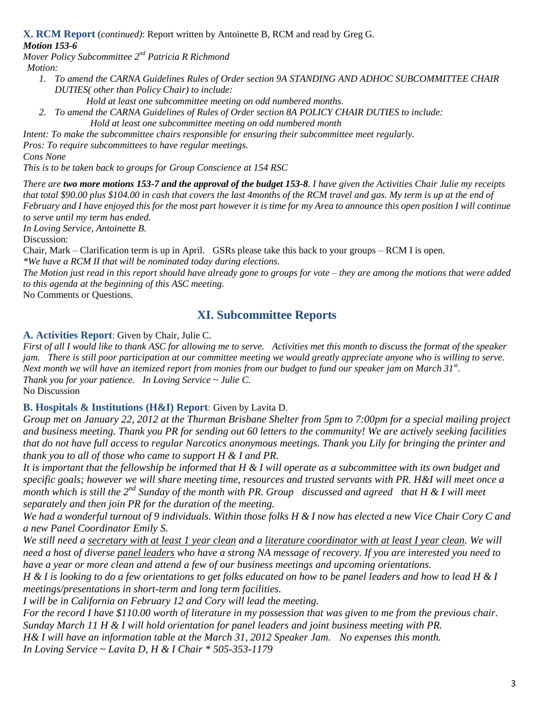**X. RCM Report** (*continued)*: Report written by Antoinette B, RCM and read by Greg G.

# *Motion 153-6*

*Mover Policy Subcommittee 2nd Patricia R Richmond*

- *Motion:*
	- *1. To amend the CARNA Guidelines Rules of Order section 9A STANDING AND ADHOC SUBCOMMITTEE CHAIR DUTIES( other than Policy Chair) to include:*

*Hold at least one subcommittee meeting on odd numbered months. 2. To amend the CARNA Guidelines of Rules of Order section 8A POLICY CHAIR DUTIES to include: Hold at least one subcommittee meeting on odd numbered month*

*Intent: To make the subcommittee chairs responsible for ensuring their subcommittee meet regularly.* 

*Pros: To require subcommittees to have regular meetings.* 

*Cons None*

*This is to be taken back to groups for Group Conscience at 154 RSC*

*There are two more motions 153-7 and the approval of the budget 153-8. I have given the Activities Chair Julie my receipts that total \$90.00 plus \$104.00 in cash that covers the last 4months of the RCM travel and gas. My term is up at the end of February and I have enjoyed this for the most part however it is time for my Area to announce this open position I will continue to serve until my term has ended.* 

*In Loving Service, Antoinette B.*

Discussion:

Chair, Mark – Clarification term is up in April. GSRs please take this back to your groups – RCM I is open. *\*We have a RCM II that will be nominated today during elections.*

*The Motion just read in this report should have already gone to groups for vote – they are among the motions that were added to this agenda at the beginning of this ASC meeting.*

No Comments or Questions.

# **XI. Subcommittee Reports**

## **A. Activities Report**: Given by Chair, Julie C.

*First of all I would like to thank ASC for allowing me to serve. Activities met this month to discuss the format of the speaker jam. There is still poor participation at our committee meeting we would greatly appreciate anyone who is willing to serve. Next month we will have an itemized report from monies from our budget to fund our speaker jam on March 31st . Thank you for your patience. In Loving Service ~ Julie C.* No Discussion

**B. Hospitals & Institutions (H&I) Report**: Given by Lavita D.

*Group met on January 22, 2012 at the Thurman Brisbane Shelter from 5pm to 7:00pm for a special mailing project and business meeting. Thank you PR for sending out 60 letters to the community! We are actively seeking facilities that do not have full access to regular Narcotics anonymous meetings. Thank you Lily for bringing the printer and thank you to all of those who came to support H & I and PR.*

*It is important that the fellowship be informed that H & I will operate as a subcommittee with its own budget and specific goals; however we will share meeting time, resources and trusted servants with PR. H&I will meet once a month which is still the 2nd Sunday of the month with PR. Group discussed and agreed that H & I will meet separately and then join PR for the duration of the meeting.* 

*We had a wonderful turnout of 9 individuals. Within those folks H & I now has elected a new Vice Chair Cory C and a new Panel Coordinator Emily S.* 

*We still need a secretary with at least 1 year clean and a literature coordinator with at least I year clean. We will need a host of diverse panel leaders who have a strong NA message of recovery. If you are interested you need to have a year or more clean and attend a few of our business meetings and upcoming orientations.*

*H & I is looking to do a few orientations to get folks educated on how to be panel leaders and how to lead H & I meetings/presentations in short-term and long term facilities.*

*I will be in California on February 12 and Cory will lead the meeting.*

*For the record I have \$110.00 worth of literature in my possession that was given to me from the previous chair. Sunday March 11 H & I will hold orientation for panel leaders and joint business meeting with PR. H& I will have an information table at the March 31, 2012 Speaker Jam. No expenses this month. In Loving Service ~ Lavita D, H & I Chair \* 505-353-1179*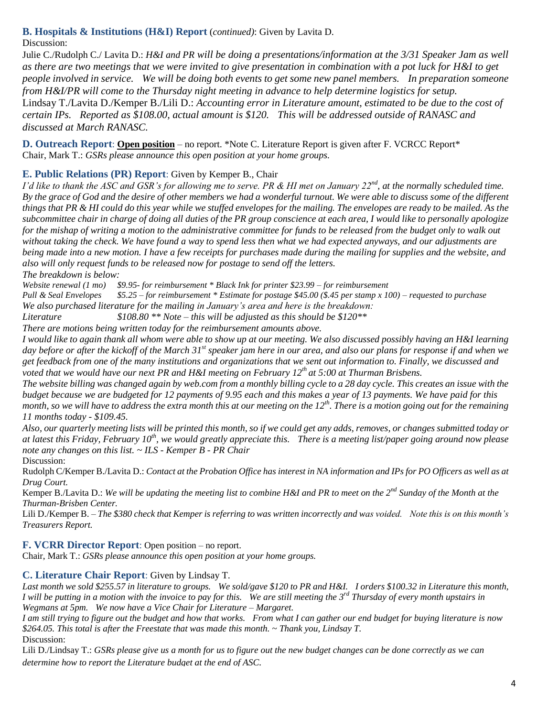**B. Hospitals & Institutions (H&I) Report** (*continued)*: Given by Lavita D.

Discussion:

Julie C./Rudolph C./ Lavita D.: *H&I and PR will be doing a presentations/information at the 3/31 Speaker Jam as well as there are two meetings that we were invited to give presentation in combination with a pot luck for H&I to get people involved in service. We will be doing both events to get some new panel members. In preparation someone from H&I/PR will come to the Thursday night meeting in advance to help determine logistics for setup.* Lindsay T./Lavita D./Kemper B./Lili D.: *Accounting error in Literature amount, estimated to be due to the cost of certain IPs. Reported as \$108.00, actual amount is \$120. This will be addressed outside of RANASC and discussed at March RANASC.*

**D. Outreach Report**: **Open position** – no report. \*Note C. Literature Report is given after F. VCRCC Report\* Chair, Mark T.: *GSRs please announce this open position at your home groups.*

# **E. Public Relations (PR) Report**: Given by Kemper B., Chair

*I"d like to thank the ASC and GSR"s for allowing me to serve. PR & HI met on January 22nd, at the normally scheduled time. By the grace of God and the desire of other members we had a wonderful turnout. We were able to discuss some of the different things that PR & HI could do this year while we stuffed envelopes for the mailing. The envelopes are ready to be mailed. As the subcommittee chair in charge of doing all duties of the PR group conscience at each area, I would like to personally apologize for the mishap of writing a motion to the administrative committee for funds to be released from the budget only to walk out without taking the check. We have found a way to spend less then what we had expected anyways, and our adjustments are being made into a new motion. I have a few receipts for purchases made during the mailing for supplies and the website, and also will only request funds to be released now for postage to send off the letters.* 

*The breakdown is below:*

*Website renewal (1 mo) \$9.95- for reimbursement \* Black Ink for printer \$23.99 – for reimbursement*

*Pull & Seal Envelopes \$5.25 – for reimbursement \* Estimate for postage \$45.00 (\$.45 per stamp x 100) – requested to purchase We also purchased literature for the mailing in January"s area and here is the breakdown:*

*Literature \$108.80 \*\* Note – this will be adjusted as this should be \$120\*\**

*There are motions being written today for the reimbursement amounts above.*

*I would like to again thank all whom were able to show up at our meeting. We also discussed possibly having an H&I learning day before or after the kickoff of the March 31st speaker jam here in our area, and also our plans for response if and when we get feedback from one of the many institutions and organizations that we sent out information to. Finally, we discussed and voted that we would have our next PR and H&I meeting on February 12th at 5:00 at Thurman Brisbens.*

*The website billing was changed again by web.com from a monthly billing cycle to a 28 day cycle. This creates an issue with the budget because we are budgeted for 12 payments of 9.95 each and this makes a year of 13 payments. We have paid for this month, so we will have to address the extra month this at our meeting on the 12th. There is a motion going out for the remaining 11 months today - \$109.45.* 

*Also, our quarterly meeting lists will be printed this month, so if we could get any adds, removes, or changes submitted today or at latest this Friday, February 10th, we would greatly appreciate this. There is a meeting list/paper going around now please note any changes on this list. ~ ILS - Kemper B - PR Chair*

Discussion:

Rudolph C/Kemper B./Lavita D.: *Contact at the Probation Office has interest in NA information and IPs for PO Officers as well as at Drug Court.* 

Kemper B./Lavita D.: *We will be updating the meeting list to combine H&I and PR to meet on the 2nd Sunday of the Month at the Thurman-Brisben Center.*

Lili D./Kemper B. – *The \$380 check that Kemper is referring to was written incorrectly and was voided. Note this is on this month"s Treasurers Report.*

**F. VCRR Director Report**: Open position – no report.

Chair, Mark T.: *GSRs please announce this open position at your home groups.*

# **C. Literature Chair Report**: Given by Lindsay T.

*Last month we sold \$255.57 in literature to groups. We sold/gave \$120 to PR and H&I. I orders \$100.32 in Literature this month, I will be putting in a motion with the invoice to pay for this. We are still meeting the 3rd Thursday of every month upstairs in Wegmans at 5pm. We now have a Vice Chair for Literature – Margaret.*

*I am still trying to figure out the budget and how that works. From what I can gather our end budget for buying literature is now \$264.05. This total is after the Freestate that was made this month. ~ Thank you, Lindsay T.* Discussion:

Lili D./Lindsay T.: *GSRs please give us a month for us to figure out the new budget changes can be done correctly as we can determine how to report the Literature budget at the end of ASC.*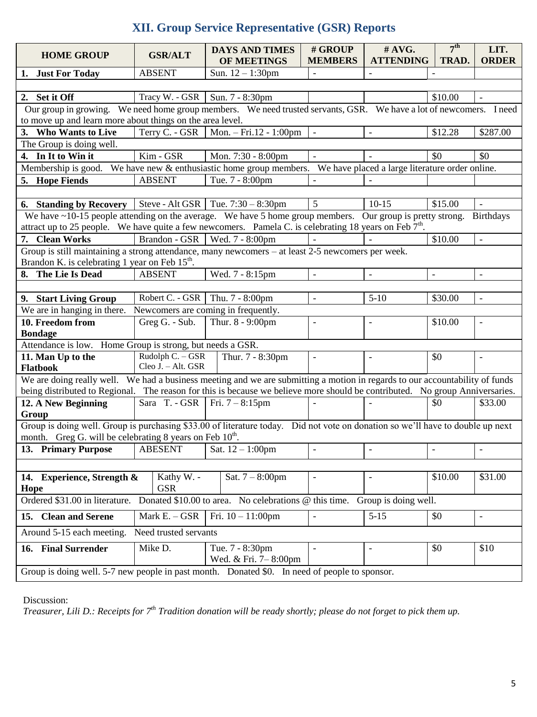# **XII. Group Service Representative (GSR) Reports**

| <b>HOME GROUP</b>                                                                                                                                     | <b>GSR/ALT</b>                                                                                                                                                                   |  | <b>DAYS AND TIMES</b><br>OF MEETINGS    | # GROUP<br><b>MEMBERS</b> | #AVG.<br><b>ATTENDING</b> | 7 <sup>th</sup><br>TRAD. | LIT.<br><b>ORDER</b>     |  |  |
|-------------------------------------------------------------------------------------------------------------------------------------------------------|----------------------------------------------------------------------------------------------------------------------------------------------------------------------------------|--|-----------------------------------------|---------------------------|---------------------------|--------------------------|--------------------------|--|--|
| 1.<br><b>Just For Today</b>                                                                                                                           | <b>ABSENT</b>                                                                                                                                                                    |  | Sun. $12 - 1:30$ pm                     | $\qquad \qquad -$         | $\overline{\phantom{a}}$  | $\overline{\phantom{a}}$ |                          |  |  |
|                                                                                                                                                       |                                                                                                                                                                                  |  |                                         |                           |                           |                          |                          |  |  |
| 2. Set it Off                                                                                                                                         | Tracy W. - GSR   Sun. 7 - 8:30pm                                                                                                                                                 |  |                                         |                           |                           | \$10.00                  |                          |  |  |
|                                                                                                                                                       | Our group in growing. We need home group members. We need trusted servants, GSR. We have a lot of newcomers. I need<br>to move up and learn more about things on the area level. |  |                                         |                           |                           |                          |                          |  |  |
| 3. Who Wants to Live                                                                                                                                  | Terry C. - GSR                                                                                                                                                                   |  | Mon. $-$ Fri.12 - 1:00pm                |                           |                           | \$12.28                  | \$287.00                 |  |  |
| The Group is doing well.                                                                                                                              |                                                                                                                                                                                  |  |                                         |                           |                           |                          |                          |  |  |
| 4. In It to Win it                                                                                                                                    | Kim - GSR                                                                                                                                                                        |  | Mon. 7:30 - 8:00pm                      |                           |                           | \$0                      | \$0                      |  |  |
| Membership is good. We have new & enthusiastic home group members. We have placed a large literature order online.                                    |                                                                                                                                                                                  |  |                                         |                           |                           |                          |                          |  |  |
| 5. Hope Fiends                                                                                                                                        | <b>ABSENT</b>                                                                                                                                                                    |  | Tue. 7 - 8:00pm                         |                           |                           |                          |                          |  |  |
|                                                                                                                                                       |                                                                                                                                                                                  |  |                                         |                           |                           |                          |                          |  |  |
| <b>6.</b> Standing by Recovery                                                                                                                        | Steve - Alt GSR   Tue. $7:30 - 8:30$ pm                                                                                                                                          |  |                                         | 5                         | $10-15$                   | \$15.00                  |                          |  |  |
| We have $\sim$ 10-15 people attending on the average. We have 5 home group members. Our group is pretty strong.                                       |                                                                                                                                                                                  |  |                                         |                           |                           |                          | <b>Birthdays</b>         |  |  |
| attract up to 25 people. We have quite a few new comers. Pamela C. is celebrating 18 years on Feb $7th$ .                                             |                                                                                                                                                                                  |  |                                         |                           |                           |                          |                          |  |  |
| 7. Clean Works                                                                                                                                        | Brandon - GSR                                                                                                                                                                    |  | Wed. 7 - 8:00pm                         |                           |                           | \$10.00                  | $\overline{a}$           |  |  |
| Group is still maintaining a strong attendance, many newcomers – at least 2-5 newcomers per week.<br>Brandon K. is celebrating 1 year on Feb $15th$ . |                                                                                                                                                                                  |  |                                         |                           |                           |                          |                          |  |  |
| 8. The Lie Is Dead                                                                                                                                    | <b>ABSENT</b>                                                                                                                                                                    |  | Wed. 7 - 8:15pm                         | $\overline{a}$            | $\overline{a}$            | $\equiv$                 | $\blacksquare$           |  |  |
|                                                                                                                                                       |                                                                                                                                                                                  |  |                                         |                           |                           |                          |                          |  |  |
| 9. Start Living Group                                                                                                                                 | Robert C. - GSR                                                                                                                                                                  |  | Thu. 7 - 8:00pm                         | $\overline{a}$            | $5-10$                    | \$30.00                  |                          |  |  |
| We are in hanging in there.                                                                                                                           | Newcomers are coming in frequently.                                                                                                                                              |  |                                         |                           |                           |                          |                          |  |  |
| 10. Freedom from<br><b>Bondage</b>                                                                                                                    | Greg G. - Sub.                                                                                                                                                                   |  | Thur. 8 - 9:00pm                        |                           | $\overline{a}$            | \$10.00                  | $\overline{\phantom{a}}$ |  |  |
| Attendance is low. Home Group is strong, but needs a GSR.                                                                                             |                                                                                                                                                                                  |  |                                         |                           |                           |                          |                          |  |  |
| 11. Man Up to the<br><b>Flatbook</b>                                                                                                                  | Rudolph C. - GSR<br>Cleo J. - Alt. GSR                                                                                                                                           |  | Thur. 7 - 8:30pm                        | $\overline{a}$            | $\overline{\phantom{a}}$  | \$0                      | $\overline{\phantom{a}}$ |  |  |
| We are doing really well. We had a business meeting and we are submitting a motion in regards to our accountability of funds                          |                                                                                                                                                                                  |  |                                         |                           |                           |                          |                          |  |  |
| being distributed to Regional. The reason for this is because we believe more should be contributed. No group Anniversaries.                          |                                                                                                                                                                                  |  |                                         |                           |                           |                          |                          |  |  |
| 12. A New Beginning<br>Group                                                                                                                          | Sara T. - GSR   Fri. $7 - 8:15$ pm                                                                                                                                               |  |                                         |                           |                           | \$0                      | \$33.00                  |  |  |
| Group is doing well. Group is purchasing \$33.00 of literature today. Did not vote on donation so we'll have to double up next                        |                                                                                                                                                                                  |  |                                         |                           |                           |                          |                          |  |  |
| month. Greg G. will be celebrating 8 years on Feb 10 <sup>th</sup> .                                                                                  |                                                                                                                                                                                  |  |                                         |                           |                           |                          |                          |  |  |
| 13. Primary Purpose                                                                                                                                   | <b>ABESENT</b>                                                                                                                                                                   |  | Sat. $12 - 1:00$ pm                     | $\overline{a}$            | $\overline{a}$            | $\overline{\phantom{a}}$ | $\frac{1}{2}$            |  |  |
| 14. Experience, Strength &                                                                                                                            | Kathy W. -                                                                                                                                                                       |  | Sat. $7 - 8:00$ pm                      | $\overline{a}$            | $\overline{a}$            | \$10.00                  | \$31.00                  |  |  |
| Hope                                                                                                                                                  | <b>GSR</b>                                                                                                                                                                       |  |                                         |                           |                           |                          |                          |  |  |
| Ordered \$31.00 in literature.<br>Donated \$10.00 to area. No celebrations @ this time.<br>Group is doing well.                                       |                                                                                                                                                                                  |  |                                         |                           |                           |                          |                          |  |  |
| 15. Clean and Serene                                                                                                                                  | Mark $E. - GSR$                                                                                                                                                                  |  | Fri. $10 - 11:00$ pm                    | $\overline{a}$            | $5 - 15$                  | \$0                      | $\frac{1}{2}$            |  |  |
| Need trusted servants<br>Around 5-15 each meeting.                                                                                                    |                                                                                                                                                                                  |  |                                         |                           |                           |                          |                          |  |  |
| 16. Final Surrender                                                                                                                                   | Mike D.                                                                                                                                                                          |  | Tue. 7 - 8:30pm<br>Wed. & Fri. 7-8:00pm |                           |                           | \$0                      | \$10                     |  |  |
| Group is doing well. 5-7 new people in past month. Donated \$0. In need of people to sponsor.                                                         |                                                                                                                                                                                  |  |                                         |                           |                           |                          |                          |  |  |

Discussion:

*Treasurer, Lili D.: Receipts for 7th Tradition donation will be ready shortly; please do not forget to pick them up.*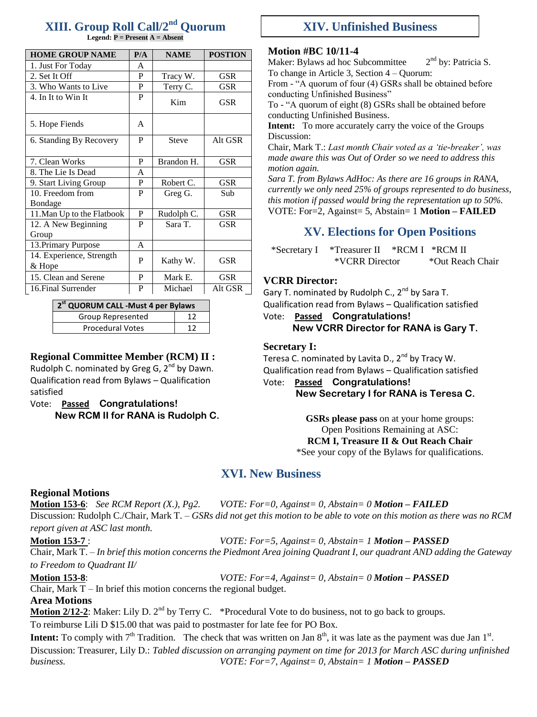# **XIII. Group Roll Call/2nd Quorum**

**Legend: P = Present A = Absent**

| <b>HOME GROUP NAME</b>             | P/A | <b>NAME</b>  | <b>POSTION</b> |  |
|------------------------------------|-----|--------------|----------------|--|
| 1. Just For Today                  | A   |              |                |  |
| 2. Set It Off                      | P   | Tracy W.     | <b>GSR</b>     |  |
| 3. Who Wants to Live               | P   | Terry C.     | GSR            |  |
| 4. In It to Win It                 | P   | Kim          | GSR            |  |
| 5. Hope Fiends                     | A   |              |                |  |
| 6. Standing By Recovery            | P   | <b>Steve</b> | Alt GSR        |  |
| 7. Clean Works                     | P   | Brandon H.   | <b>GSR</b>     |  |
| 8. The Lie Is Dead                 | A   |              |                |  |
| 9. Start Living Group              | P   | Robert C.    | <b>GSR</b>     |  |
| 10. Freedom from                   | P   | Greg G.      | Sub            |  |
| Bondage                            |     |              |                |  |
| 11. Man Up to the Flatbook         | P   | Rudolph C.   | <b>GSR</b>     |  |
| 12. A New Beginning                | P   | Sara T.      | GSR            |  |
| Group                              |     |              |                |  |
| 13. Primary Purpose                | A   |              |                |  |
| 14. Experience, Strength<br>& Hope | P   | Kathy W.     | <b>GSR</b>     |  |
| 15. Clean and Serene               | P   | Mark E.      | <b>GSR</b>     |  |
| 16. Final Surrender                | P   | Michael      | Alt GSR        |  |

**2 st QUORUM CALL -Must 4 per Bylaws** Group Represented 12 Procedural Votes 12

#### **Regional Committee Member (RCM) II :**

Rudolph C. nominated by Greg G,  $2^{nd}$  by Dawn. Qualification read from Bylaws – Qualification satisfied

Vote: **Passed Congratulations! New RCM II for RANA is Rudolph C.**

# **XIV. Unfinished Business**

### **Motion #BC 10/11-4**

Maker: Bylaws ad hoc Subcommittee 2  $2^{nd}$  by: Patricia S. To change in Article 3, Section 4 – Quorum:

From - "A quorum of four (4) GSRs shall be obtained before conducting Unfinished Business"

To - "A quorum of eight (8) GSRs shall be obtained before conducting Unfinished Business.

**Intent:** To more accurately carry the voice of the Groups Discussion:

Chair, Mark T.: *Last month Chair voted as a "tie-breaker", was made aware this was Out of Order so we need to address this motion again.* 

*Sara T. from Bylaws AdHoc: As there are 16 groups in RANA, currently we only need 25% of groups represented to do business, this motion if passed would bring the representation up to 50%.* VOTE: For=2, Against= 5, Abstain= 1 **Motion – FAILED**

# **XV. Elections for Open Positions**

\*Secretary I \*Treasurer II \*RCM I \*RCM II \*VCRR Director \*Out Reach Chair

### **VCRR Director:**

Gary T. nominated by Rudolph C.,  $2^{nd}$  by Sara T. Qualification read from Bylaws – Qualification satisfied

Vote: **Passed Congratulations!**

**New VCRR Director for RANA is Gary T.**

### **Secretary I:**

Teresa C. nominated by Lavita D., 2<sup>nd</sup> by Tracy W. Qualification read from Bylaws – Qualification satisfied Vote: **Passed Congratulations!**

**New Secretary I for RANA is Teresa C.**

**GSRs please pass on at your home groups:** Open Positions Remaining at ASC: **RCM I, Treasure II & Out Reach Chair** \*See your copy of the Bylaws for qualifications.

# **XVI. New Business**

### **Regional Motions**

**Motion 153-6**: *See RCM Report (X.), Pg2. VOTE: For=0, Against= 0, Abstain= 0 Motion – FAILED* Discussion: Rudolph C./Chair, Mark T. – *GSRs did not get this motion to be able to vote on this motion as there was no RCM* 

*report given at ASC last month.*

**Motion 153-7** : *VOTE: For=5, Against= 0, Abstain= 1 Motion – PASSED*

Chair, Mark T. – *In brief this motion concerns the Piedmont Area joining Quadrant I, our quadrant AND adding the Gateway to Freedom to Quadrant II/*

**Motion 153-8**: *VOTE: For=4, Against= 0, Abstain= 0 Motion – PASSED*

Chair, Mark  $T - In$  brief this motion concerns the regional budget.

### **Area Motions**

**Motion 2/12-2**: Maker: Lily D. 2<sup>nd</sup> by Terry C. \*Procedural Vote to do business, not to go back to groups.

To reimburse Lili D \$15.00 that was paid to postmaster for late fee for PO Box.

**Intent:** To comply with  $7<sup>th</sup>$  Tradition. The check that was written on Jan  $8<sup>th</sup>$ , it was late as the payment was due Jan  $1<sup>st</sup>$ . Discussion: Treasurer, Lily D.: *Tabled discussion on arranging payment on time for 2013 for March ASC during unfinished business. VOTE: For=7, Against= 0, Abstain= 1 Motion – PASSED*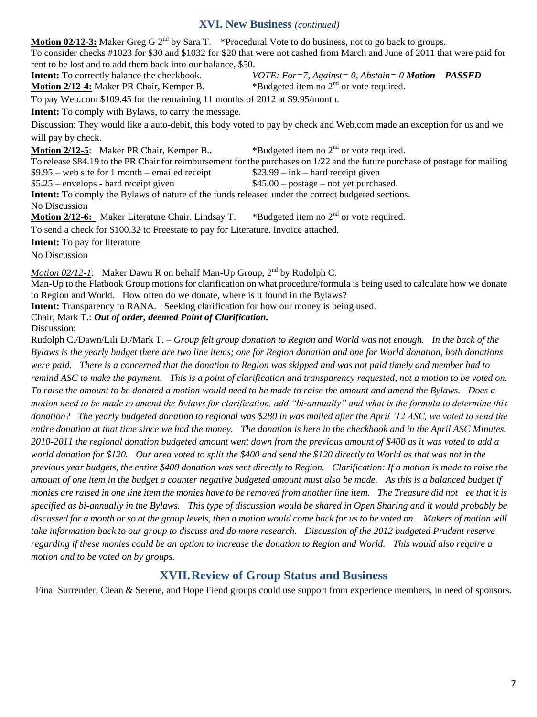#### **XVI. New Business** *(continued)*

**Motion 02/12-3:** Maker Greg G 2<sup>nd</sup> by Sara T. \*Procedural Vote to do business, not to go back to groups. To consider checks #1023 for \$30 and \$1032 for \$20 that were not cashed from March and June of 2011 that were paid for rent to be lost and to add them back into our balance, \$50.

**Intent:** To correctly balance the checkbook. *VOTE: For=7, Against= 0, Abstain= 0 Motion – PASSED* **Motion 2/12-4:** Maker PR Chair, Kemper B. \*Budgeted item no 2<sup>nd</sup> or vote required.

To pay Web.com \$109.45 for the remaining 11 months of 2012 at \$9.95/month.

**Intent:** To comply with Bylaws, to carry the message.

Discussion: They would like a auto-debit, this body voted to pay by check and Web.com made an exception for us and we will pay by check.

**Motion 2/12-5**: Maker PR Chair, Kemper B.. \*Budgeted item no 2<sup>nd</sup> or vote required.

To release \$84.19 to the PR Chair for reimbursement for the purchases on 1/22 and the future purchase of postage for mailing

 $$9.95$  – web site for 1 month – emailed receipt  $$23.99$  – ink – hard receipt given

\$5.25 – envelops - hard receipt given \$45.00 – postage – not yet purchased.

**Intent:** To comply the Bylaws of nature of the funds released under the correct budgeted sections.

No Discussion

**Motion 2/12-6:** Maker Literature Chair, Lindsay T. \*Budgeted item no 2<sup>nd</sup> or vote required.

To send a check for \$100.32 to Freestate to pay for Literature. Invoice attached.

**Intent:** To pay for literature

No Discussion

*Motion 02/12-1*: Maker Dawn R on behalf Man-Up Group, 2<sup>nd</sup> by Rudolph C.

Man-Up to the Flatbook Group motions for clarification on what procedure/formula is being used to calculate how we donate to Region and World. How often do we donate, where is it found in the Bylaws?

**Intent:** Transparency to RANA. Seeking clarification for how our money is being used.

Chair, Mark T.: *Out of order, deemed Point of Clarification.*

Discussion:

Rudolph C./Dawn/Lili D./Mark T. *– Group felt group donation to Region and World was not enough. In the back of the Bylaws is the yearly budget there are two line items; one for Region donation and one for World donation, both donations were paid. There is a concerned that the donation to Region was skipped and was not paid timely and member had to remind ASC to make the payment. This is a point of clarification and transparency requested, not a motion to be voted on. To raise the amount to be donated a motion would need to be made to raise the amount and amend the Bylaws. Does a motion need to be made to amend the Bylaws for clarification, add "bi-annually" and what is the formula to determine this donation? The yearly budgeted donation to regional was \$280 in was mailed after the April "12 ASC, we voted to send the entire donation at that time since we had the money. The donation is here in the checkbook and in the April ASC Minutes. 2010-2011 the regional donation budgeted amount went down from the previous amount of \$400 as it was voted to add a world donation for \$120. Our area voted to split the \$400 and send the \$120 directly to World as that was not in the previous year budgets, the entire \$400 donation was sent directly to Region. Clarification: If a motion is made to raise the amount of one item in the budget a counter negative budgeted amount must also be made. As this is a balanced budget if monies are raised in one line item the monies have to be removed from another line item. The Treasure did not ee that it is specified as bi-annually in the Bylaws. This type of discussion would be shared in Open Sharing and it would probably be discussed for a month or so at the group levels, then a motion would come back for us to be voted on. Makers of motion will take information back to our group to discuss and do more research. Discussion of the 2012 budgeted Prudent reserve regarding if these monies could be an option to increase the donation to Region and World. This would also require a motion and to be voted on by groups.*

# **XVII.Review of Group Status and Business**

Final Surrender, Clean & Serene, and Hope Fiend groups could use support from experience members, in need of sponsors.